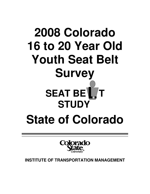# **2008 Colorado 16 to 20 Year Old Youth Seat Belt Survey SEAT BET STUDY State of Colorado**



**INSTITUTE OF TRANSPORTATION MANAGEMENT**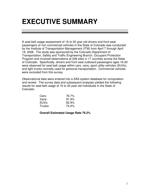### **EXECUTIVE SUMMARY**

A seat belt usage assessment of 16 to 20 year old drivers and front seat passengers of non-commercial vehicles in the State of Colorado was conducted by the Institute of Transportation Management (ITM) from April 7 through April 18, 2008. The study was sponsored by the Colorado Department of Transportation, Safety and Traffic Engineering Branch, Occupant Protection Program and involved observations at 208 sites in 17 counties across the State of Colorado. Specifically, drivers and front seat outboard passengers ages 16-20 were observed for seat belt usage within cars, vans, sport utility vehicles (SUVs), and light trucks normally used for personal transportation. Commercial vehicles were excluded from this survey.

Observational data were entered into a SAS system database for computation and review. The survey data and subsequent analyses yielded the following results for seat belt usage of 16 to 20 year old individuals in the State of Colorado:

| Cars:              | 76.7% |
|--------------------|-------|
| Vans:              | 91.9% |
| SUV <sub>s</sub> : | 82.9% |
| Trucks:            | 74.4% |

**Overall Estimated Usage Rate 79.2%**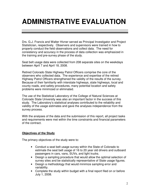# **ADMINISTRATIVE EVALUATION**

Drs. G.J. Francis and Walter Hivner served as Principal Investigator and Project Statistician, respectively. Observers and supervisors were trained in how to properly conduct the field observations and collect data. The need for consistency and accuracy in the process of data collection was emphasized in the training and pre-survey phase of the study.

Seat belt usage data were collected from 208 separate sites on the weekdays between April 7 and April 18, 2008.

Retired Colorado State Highway Patrol Officers comprise the core of the observers who collected data. The experience and expertise of the retired Highway Patrol Officers strengthened the validity of the results of the survey. Because of their familiarity with interstate highways, state highways, local and county roads, and safety procedures, many potential location and safety problems were minimized or eliminated.

The use of the Statistical Laboratory of the College of Natural Sciences at Colorado State University was also an important factor in the success of this study. The Laboratory's statistical analyses contributed to the reliability and validity of the usage estimates and gave the analyses independence from the survey process.

With the analyses of the data and the submission of this report, all project tasks and requirements were met within the time constraints and financial parameters of the contract.

### **Objectives of the Study**

The primary objectives of the study were to:

- Conduct a seat belt usage survey within the State of Colorado to estimate the seat belt usage of 16 to 20 year old drivers and outboard passengers in cars, vans, SUVs, and light trucks.
- Design a sampling procedure that would allow the optimal selection of survey sites and be statistically representative of State usage figures.
- Design a methodology that would minimize sampling error and variability.
- Complete the study within budget with a final report filed on or before July 1, 2008.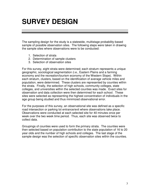### **SURVEY DESIGN**

The sampling design for the study is a statewide, multistage probability-based sample of possible observation sites. The following steps were taken in drawing the sample sites where observations were to be conducted:

- 1. Selection of strata
- 2. Determination of sample clusters
- 3. Selection of observation sites

For this survey, eight strata were determined; each stratum represents a unique geographic, sociological segmentation (i.e., Eastern Plains and a farming economy and the recreation/tourism economy of the Western Slope). Within each stratum, clusters, based on the identification of average vehicle miles and population, were determined. These clusters are represented by counties within the strata. Finally, the selection of high schools, community colleges, state colleges, and universities within the selected counties was made. Exact sites for observation and data collection were then determined for each school. These sites were selected as representing the highest concentration of individuals in the age group being studied and thus minimized observational error.

For the purposes of this survey, an observational site was defined as a specific road intersection or parking lot entrance/exit where observations take place. Observations were conducted at each selected site for 40 minutes once per week over the two week time period. Thus, each site was observed twice to collect data.

Groupings of counties were used to form the primary strata. The counties were then selected based on population contribution to the state population of 16 to 20 year olds and the number of high schools and colleges. The last stage of the sample design was the selection of specific observation sites within the counties.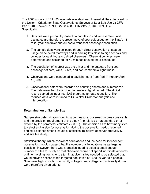The 2008 survey of 16 to 20 year olds was designed to meet all the criteria set by the Uniform Criteria for State Observational Surveys of Seat Belt Use 23 CFR Part 1340, Docket No. NHTSA-98-4280. RIN 2127-AH46, Final Rule. Specifically,

- 1. Samples were probability-based on population and vehicle miles, and estimates are therefore representative of seat belt usage for the State's 16 to 20 year old driver and outboard front seat passenger population.
- 2. The sample data were collected through direct observation of seat belt usage on selected roadways and in parking lots close to high schools and colleges by qualified and trained observers. Observation times were determined and assigned for 40 minutes of every hour scheduled.
- 3. The population of interest was the driver and the outboard front seat passenger of cars, vans, SUVs, and non-commercial light trucks.
- 4. Observations were conducted in daylight hours from April 7 through April 18, 2008
- 5. Observational data were recorded on counting sheets and summarized. The data were then transcribed to create a digital record. The digital record served as input into SAS programs for data reduction. The reduced data were returned to Dr. Walter Hivner for analysis and interpretation.

### **Determination of Sample Size**

Sample size determination was, in large measure, governed by time constraints and the precision requirement of the study (the relative error: standard error divided by the parameter estimate  $\leq$  0.05). The decision as to how many sites to select and assign for observation during the observation period required finding a balance among issues of statistical reliability, observer productivity, and site feasibility.

Statistical theory, which considers correlations and the need for independent observation, would suggest that the number of site locations be as large as possible. However, there was a practical need to select a small enough number of sites for study so that observers would not spend inordinate amounts of time traveling from site to site. In addition, sites needed to be selected that would provide access to the targeted population of 16 to 20 year old people. Sites near high schools, community colleges, and college and university dorms were therefore given priority.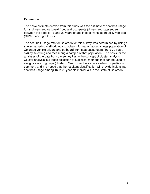### **Estimation**

The basic estimate derived from this study was the estimate of seat belt usage for all drivers and outboard front seat occupants (drivers and passengers) between the ages of 16 and 20 years of age in cars, vans, sport utility vehicles (SUVs), and light trucks.

The seat belt usage rate for Colorado for this survey was determined by using a survey sampling methodology to obtain information about a large population of Colorado vehicle drivers and outboard front seat passengers (16 to 20 years old) by selecting and measuring a sample of that population. The basis for the analyses of the data from the survey lies in the concept of cluster analysis. Cluster analysis is a loose collection of statistical methods that can be used to assign cases to groups (cluster). Group members share certain properties in common, and it is hoped that the resultant classification will provide insight into seat belt usage among 16 to 20 year old individuals in the State of Colorado.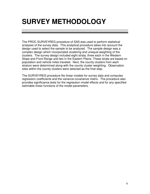## **SURVEY METHODOLOGY**

The PROC SURVEYREG procedure of SAS was used to perform statistical analyses of the survey data. This analytical procedure takes into account the design used to select the sample to be analyzed. The sample design was a complex design which incorporated clustering and unequal weighting of the clusters. The survey design included eight strata, three each in the Western Slope and Front Range and two in the Eastern Plains. These strata are based on population and vehicle miles traveled. Next, the county clusters from each stratum were determined along with the county cluster weighting. Observation sites within the county clusters were selected as the final step.

The SURVEYREG procedure fits linear models for survey data and computes regression coefficients and the variance-covariance matrix. The procedure also provides significance tests for the regression model effects and for any specified estimable linear functions of the model parameters.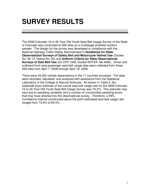### **SURVEY RESULTS**

The 2008 Colorado 16 to 20 Year Old Youth Seat Belt Usage Survey of the State of Colorado was conducted at 208 sites as a multistage stratified random sample. The design for the survey was developed in compliance with the National Highway Traffic Safety Administration's **Guidelines for State Observational Surveys of Safety Belt and Motorcycle Helmet Use** (Docket No. 92-12, Notice No. 02) and **Uniform Criteria for State Observational Surveys of Seat Belt Use** (23 CFR 1340; Docket NHTSA -98-4280). Driver and outboard front seat passenger seat belt usage data were collected from these 208 sites from April 7, 2008 through April 18, 2008.

There were 43,264 vehicle observations in the 17 counties surveyed. The data were recorded, tabulated, and analyzed with assistance from the Statistical Laboratory of the College of Natural Sciences. As shown in Table 3, the statewide point estimate of the overall seat belt usage rate for the 2008 Colorado 16 to 20 Year Old Youth Seat Belt Usage Survey was 79.2%. This estimate may vary due to sampling variability and a number of uncontrolled sampling errors that may have entered into the observational survey. Therefore, a 95% Confidence Interval constructed about the point estimated seat belt usage rate ranged from 73.9% to 84.5%.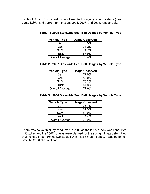Tables 1, 2, and 3 show estimates of seat belt usage by type of vehicle (cars, vans, SUVs, and trucks) for the years 2005, 2007, and 2008, respectively.

| <b>Vehicle Type</b>    | <b>Usage Observed</b> |
|------------------------|-----------------------|
| Car                    | 70.5%                 |
| Van                    | 78.2%                 |
| <b>SUV</b>             | 74.7%                 |
| Truck                  | 57.0%                 |
| <b>Overall Average</b> | 70.4%                 |

### **Table 1: 2005 Statewide Seat Belt Usages by Vehicle Type**

#### **Table 2: 2007 Statewide Seat Belt Usages by Vehicle Type**

| <b>Vehicle Type</b>    | <b>Usage Observed</b> |
|------------------------|-----------------------|
| Car                    | 72.0%                 |
| Van                    | 82.0%                 |
| <b>SUV</b>             | 76.2%                 |
| <b>Truck</b>           | 64.3%                 |
| <b>Overall Average</b> | 72.9%                 |

#### **Table 3: 2008 Statewide Seat Belt Usages by Vehicle Type**

| <b>Vehicle Type</b>    | <b>Usage Observed</b> |
|------------------------|-----------------------|
| Car                    | 76.7%                 |
| Van                    | 91.9%                 |
| <b>SUV</b>             | 82.9%                 |
| <b>Truck</b>           | 74.4%                 |
| <b>Overall Average</b> | 79.2%                 |

There was no youth study conducted in 2006 as the 2005 survey was conducted in October and the 2007 surveys were planned for the spring. It was determined that instead of performing two studies within a six-month period, it was better to omit the 2006 observations.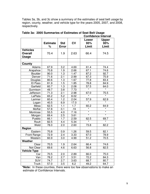Tables 3a, 3b, and 3c show a summary of the estimates of seat belt usage by region, county, weather, and vehicle type for the years 2005, 2007, and 2008, respectively.

|                    |                 |                  | <b>Confidence Interval</b> |         |                   |
|--------------------|-----------------|------------------|----------------------------|---------|-------------------|
|                    |                 |                  |                            | Lower   | <b>Upper</b>      |
|                    | <b>Estimate</b> | <b>Std</b>       | <b>CV</b>                  | 95%     | 95%               |
|                    | %               | <b>Error</b>     |                            | Limit   | Limit             |
| <b>Vehicles</b>    |                 |                  |                            |         |                   |
| <b>Overall</b>     | 70.4            | 1.9              | 2.63                       | 66.4    | 74.5              |
| <b>Usage</b>       |                 |                  |                            |         |                   |
|                    |                 |                  |                            |         |                   |
| County             |                 |                  |                            |         |                   |
| Adams              | 67.9            | 3.2              | 4.69                       | 61.4    | 74.4              |
| Arapahoe           | 70.8            | 1.9              | 2.66                       | 67.1    | 74.6              |
| <b>Boulder</b>     | 90.0            | 1.3              | 1.47                       | 87.2    | 92.7              |
| Denver             | 71.6            | 2.1              | 2.99                       | 67.3    | 75.9              |
| Douglas            | 80.6            | 1.3              | 1.67                       | 77.8    | 83.4              |
| El Paso            | 81.9            | 1.5              | 1.85                       | 78.8    | 84.9              |
| Garfield           | 60.7            | $\overline{1.3}$ | 2.08                       | 57.5    | 64.0              |
| Gunnison           | 49.7            | 3.8              | 7.73                       | $\star$ | $\overline{\ast}$ |
| Jefferson          | 71.3            | 2.1              | 2.98                       | 67.0    | 75.5              |
| LaPlata            | 65.2            | 5.2              | 8.02                       | $\star$ | $\star$           |
| Larimer            | 60.4            | 1.2              | 2.04                       | 57.9    | 62.9              |
| Logan              | 40.5            | 6.9              | 17.0                       | $\star$ | $\overline{\ast}$ |
| Mesa               | 62.5            | 1.1              | 1.7                        | 60.2    | 64.9              |
| Moffat             | 57.8            | 0.1              | .19                        | $\star$ |                   |
| Montrose           | 55.5            | 4.0              | 7.16                       | $\star$ | $\star$           |
| Morgan             | 69.4            | 2.5              | 3.61                       | $\star$ | $\star$           |
| Pueblo             | 66.1            | 1.7              | 2.59                       | 62.5    | 69.7              |
| Routt              | 82.5            | 4.4              | 5.34                       | $\star$ | $\star$           |
| Weld               | 78.0            | 2.0              | 2.60                       | 73.8    | 82.2              |
| Region             |                 |                  |                            |         |                   |
| Eastern            | 70.8            | 0.9              | 1.26                       | 59.5    | 82.1              |
| <b>Front Range</b> | 72.9            | 2.4              | 3.33                       | 67.0    | 78.9              |
| Western            | 60.9            | 3.0              | 4.99                       | 51.2    | 70.5              |
| Weather            |                 |                  |                            |         |                   |
| Clear              | 70.5            | 1.9              | 2.64                       | 66.4    | 74.6              |
| Not Clear          | 69.6            | 4.6              | 6.63                       | 56.8    | 82.5              |
| Vehicle Type       |                 |                  |                            |         |                   |
| Car                | 70.5            | 2.0              | 2.89                       | 66.0    | 75.0              |
| Van                | 78.2            | 2.7              | 3.51                       | 72.2    | 84.3              |
| <b>SUV</b>         | 74.7            | 2.7              | 3.63                       | 68.7    | 80.7              |
| Truck              | 57.0            | 3.5              | 6.2                        | 49.2    | 64.7              |

|  | Table 3a: 2005 Summaries of Estimates of Seat Belt Usage |  |                  |  |
|--|----------------------------------------------------------|--|------------------|--|
|  |                                                          |  | Canfidence Inter |  |

**\*Note:** In these counties, there were too few observations to make an estimate of Confidence Intervals.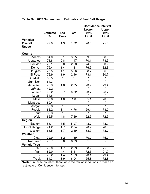|                         |                      |                            | <b>Confidence Interval</b> |                       |                              |  |
|-------------------------|----------------------|----------------------------|----------------------------|-----------------------|------------------------------|--|
|                         | <b>Estimate</b><br>% | <b>Std</b><br><b>Error</b> | CV                         | Lower<br>95%<br>Limit | <b>Upper</b><br>95%<br>Limit |  |
| <b>Vehicles</b>         |                      |                            |                            |                       |                              |  |
| <b>Overall</b><br>Usage | 72.9                 | 1.3                        | 1.82                       | 70.0                  | 75.8                         |  |
| County                  |                      |                            |                            |                       |                              |  |
| Adams                   | 64.0                 | 2.1                        | 3.35                       | 59.6                  | 68.3                         |  |
| Arapahoe                | 71.8                 | 0.8                        | 1.17                       | 70.1                  | 73.5                         |  |
| <b>Boulder</b>          | 79.1                 | 2.0                        | 2.58                       | 74.9                  | 83.2                         |  |
| Denver                  | 79.4                 | 1.4                        | 1.81                       | 76.5                  | 82.3                         |  |
| Douglas                 | 77.5                 | 4.1                        | 5.26                       | 68.7                  | 86.3                         |  |
| El Paso                 | 76.9                 | 1.9                        | 2.46                       | 73.1                  | 80.7                         |  |
| Garfield                | 66.5                 |                            |                            |                       |                              |  |
| Gunnison                | 64.3                 | $\star$                    | $\star$                    | $\star$               | $\star$                      |  |
| Jefferson               | 76.3                 | 1.6                        | 2.05                       | $\frac{73.2}{*}$      | <u>79.4</u>                  |  |
| LaPlata                 | 42.2                 |                            |                            |                       |                              |  |
| Larimer                 | 95.2                 | 0.7                        | 0.72                       | 93.7                  | 96.7                         |  |
| Logan                   | 54.6                 |                            |                            | $\star$               |                              |  |
| Mesa                    | 67.6                 | 1.0                        | 1.0                        | 65.1                  | 70.0                         |  |
| Montrose                | 69.4                 | $\overline{\ast}$          | $\overline{\ast}$          | $\star$               | $\star$                      |  |
| Morgan                  | 53.8                 | $\star$                    | $\star$                    | $\star$               | $\star$                      |  |
| Pueblo                  | 66.2                 | 3.1                        | 4.76                       | 59.4                  | 73.0                         |  |
| Routt                   | 80.3                 | $\overline{\ast}$          |                            | $\star$               |                              |  |
| Weld                    | 62.5                 | 4.8                        | 7.69                       | 52.5                  | 72.5                         |  |
| Region                  |                      |                            |                            |                       |                              |  |
| Eastern                 | 58.1                 | 3.5                        | 5.97                       | 43.2                  | 73.0                         |  |
| <b>Front Range</b>      | 74.2                 | 1.7                        | 2.24                       | 70.2                  | 78.3                         |  |
| Western                 | 68.5                 | 1.7                        | 2.49                       | 63.7                  | 73.2                         |  |
| Weather                 |                      |                            |                            |                       |                              |  |
| Clear                   | 72.9                 | 1.2                        | 1.69                       | 70.2                  | 75.2                         |  |
| Not Clear               | 73.7                 | 5.0                        | 6.79                       | 61.8                  | 85.5                         |  |
| <b>Vehicle Type</b>     |                      |                            |                            |                       |                              |  |
| Car                     | 72.0                 | 1.7                        | 2.39                       | 68.2                  | 75.8                         |  |
| Van                     | 82.0                 | 4.4                        | 5.41                       | 72.3                  | 91.7                         |  |
| <b>SUV</b>              | 76.2                 | 1.4                        | 1.89                       | 73.1                  | 79.4                         |  |
| <b>Truck</b>            | 64.3                 | 3.9                        | 6.04                       | 55.8                  | 72.8                         |  |

**Table 3b: 2007 Summaries of Estimates of Seat Belt Usage** 

**\*Note:** In these counties, there were too few observations to make an estimate of Confidence Intervals.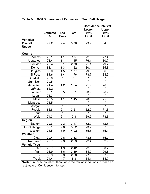|                         |                      |                            | <b>Confidence Interval</b> |                       |                              |  |
|-------------------------|----------------------|----------------------------|----------------------------|-----------------------|------------------------------|--|
|                         | <b>Estimate</b><br>% | <b>Std</b><br><b>Error</b> | CV                         | Lower<br>95%<br>Limit | <b>Upper</b><br>95%<br>Limit |  |
| <b>Vehicles</b>         |                      |                            |                            |                       |                              |  |
| <b>Overall</b><br>Usage | 79.2                 | 2.4                        | 3.06                       | 73.9                  | 84.5                         |  |
| County                  |                      |                            |                            |                       |                              |  |
| Adams                   | 75.1                 | 1.1                        | 1.5                        | 72.8                  | 77.4                         |  |
| Arapahoe                | 78.4                 | 1.1                        | 1.45                       | 76.1                  | 80.7                         |  |
| <b>Boulder</b>          | 75.4                 | 2.1                        | 2.78                       | 71.1                  | 79.7                         |  |
| Denver                  | 83.1                 | 1.3                        | 1.62                       | 80.4                  | 85.8                         |  |
| Douglas                 | 83.0                 | 1.5                        | 1.77                       | 79.9                  | 86.0                         |  |
| El Paso                 | 81.6                 | 1.4                        | 1.76                       | 78.7                  | 84.5                         |  |
| Garfield                | 75.0                 |                            |                            |                       |                              |  |
| Gunnison                | 70.5                 | $\star$                    | $\overline{\ast}$          | $\star$               | $\star$                      |  |
| Jefferson               | 74.4                 | 1.2                        | 1.64                       | 71.9                  | 76.8                         |  |
| LaPlata                 | 65.2                 |                            |                            |                       |                              |  |
| Larimer                 | 95.1                 | 0.5                        | .57                        | 93.9                  | 96.2                         |  |
| Logan                   | 71.3                 |                            |                            | $\star$               |                              |  |
| Mesa                    | 72.5                 | 1.1                        | 1.45                       | 70.0                  | 75.0                         |  |
| Montrose                | 71.5                 | $\overline{\ast}$          | $\star$                    | $\star$               | $\star$                      |  |
| Morgan                  | 63.7                 | $\star$                    | $\star$                    | $\star$               | $\star$                      |  |
| Pueblo                  | 66.8                 | 2.1                        | 3.21                       | 62.2                  | 71.3                         |  |
| Routt                   | 87.7                 | $\overline{\ast}$          | $\star$                    | $\star$               |                              |  |
| Weld                    | 74.3                 | 2.1                        | 2.8                        | 69.9                  | 78.6                         |  |
| Region                  |                      |                            |                            |                       |                              |  |
| Eastern                 | 72.6                 | 2.3                        | 3.17                       | 62.7                  | 82.5                         |  |
| <b>Front Range</b>      | 80.1                 | 2.8                        | 3.52                       | 73.2                  | 87.0                         |  |
| Western                 | 75.5                 | 3.0                        | 4.02                       | 65.8                  | 85.1                         |  |
| Weather                 |                      |                            |                            |                       |                              |  |
| Clear                   | 79.4                 | 2.6                        | 3.33                       | 73.6                  | 85.2                         |  |
| Not Clear               | 77.7                 | 2.3                        | 2.93                       | 72.4                  | 82.9                         |  |
| <b>Vehicle Type</b>     |                      |                            |                            |                       |                              |  |
| Car                     | 76.7                 | 1.9                        | 2.42                       | 72.6                  | 80.7                         |  |
| Van                     | 91.9                 | 3.6                        | 3.89                       | 84.0                  | 99.8                         |  |
| <b>SUV</b>              | 82.9                 | 2.3                        | 2.76                       | 77.9                  | 87.9                         |  |
| Truck                   | 74.4                 | 4.7                        | 6.3                        | 64.1                  | 84.7                         |  |

**Table 3c: 2008 Summaries of Estimates of Seat Belt Usage** 

**\*Note:** In these counties, there were too few observations to make an estimate of Confidence Intervals.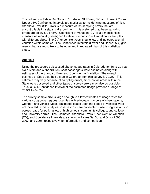The columns in Tables 3a, 3b, and 3c labeled Std Error, CV, and Lower 95% and Upper 95% Confidence Intervals are statistical terms defining measures of risk. Standard Error (Std Error) is a measure of the sampling errors that are uncontrollable in a statistical experiment. It is preferred that these sampling errors are below 5.0 or 5%. Coefficient of Variation (CV) is a dimensionless measure of variability, designed to allow comparisons of variation for samples with different sizes. The CV for vehicle types is quite low and indicates a small variation within samples. The Confidence Intervals (Lower and Upper 95%) give results that are most likely to be observed in repeated trials of this statistical study.

### **Analysis**

Using the procedures discussed above, usage rates in Colorado for 16 to 20 year old drivers and outboard front seat passengers were estimated along with estimates of the Standard Error and Coefficient of Variation. The overall estimate of State seat belt usage in Colorado from this survey is 79.2%. This estimate may vary because of sampling errors, since not all areas within the State were observed and other types of survey errors may also be possible. Thus, a 95% Confidence Interval of the estimated usage provides a range of 73.9% to 84.5%.

The survey sample size is large enough to allow estimates of usage rates for various subgroups: regions, counties with adequate numbers of observations, weather, and vehicle types. Estimates based upon the speed of vehicles were not included in this study as observations were conducted close to ingress and/or egress roads for parking lots of high schools, community colleges, and college and university dorms. The Estimates, Standard Errors, Coefficient of Variation (CV), and Confidence Intervals are shown in Tables 3a, 3b, and 3c for 2005, 2007, and 2008, respectively, for information and comparison.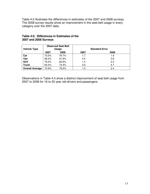Table 4.0 illustrates the differences in estimates of the 2007 and 2008 surveys. The 2008 survey results show an improvement in the seat belt usage in every category over the 2007 data.

| <b>Vehicle Type</b>    | <b>Observed Seat Belt</b><br>Usage |       |      | <b>Standard Error</b> |
|------------------------|------------------------------------|-------|------|-----------------------|
|                        | 2007                               | 2008  | 2007 | 2008                  |
| Car                    | 72.0%                              | 76.7% | 1.7  | 1.9                   |
| Van                    | 82.0%                              | 91.9% | 4.4  | 3.6                   |
| <b>SUV</b>             | 76.2%                              | 82.9% | 1.4  | 2.3                   |
| <b>Truck</b>           | 64.3%                              | 74.4% | 3.9  | 4.7                   |
| <b>Overall Average</b> | 72.9%                              | 79.2% | 1.3  | 2.4                   |

#### **Table 4.0: Differences in Estimates of the 2007 and 2008 Surveys**

Observations in Table 4.0 show a distinct improvement of seat belt usage from 2007 to 2008 for 16 to 20 year old drivers and passengers.